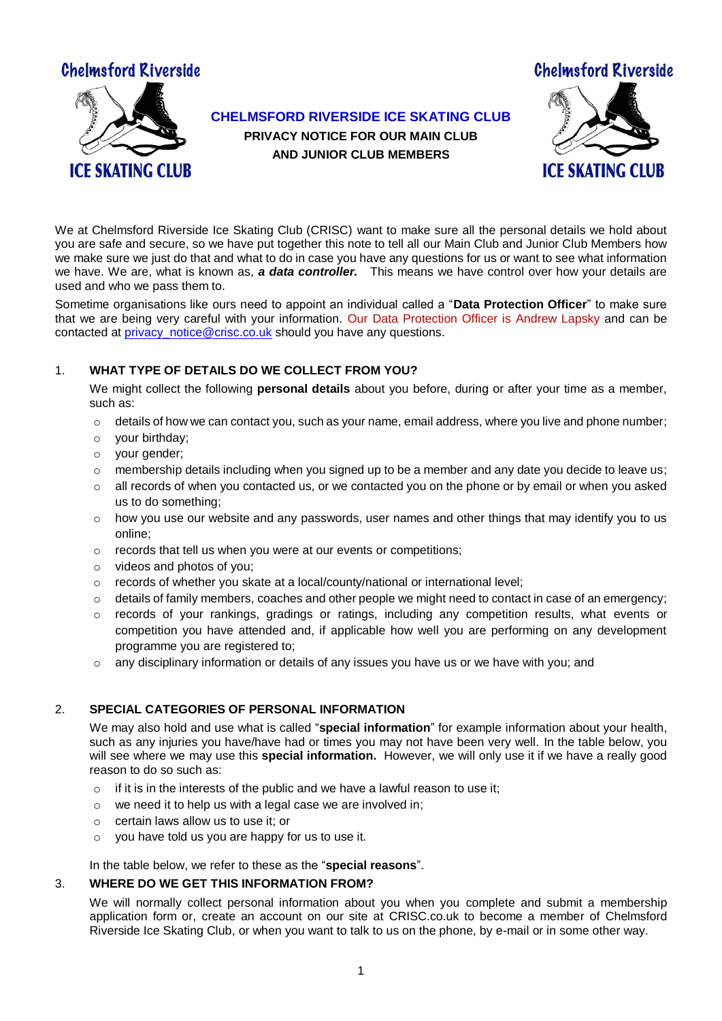

**CHELMSFORD RIVERSIDE ICE SKATING CLUB** 

**PRIVACY NOTICE FOR OUR MAIN CLUB AND JUNIOR CLUB MEMBERS**



We at Chelmsford Riverside Ice Skating Club (CRISC) want to make sure all the personal details we hold about you are safe and secure, so we have put together this note to tell all our Main Club and Junior Club Members how we make sure we just do that and what to do in case you have any questions for us or want to see what information we have. We are, what is known as, *a data controller.* This means we have control over how your details are used and who we pass them to.

Sometime organisations like ours need to appoint an individual called a "**Data Protection Officer**" to make sure that we are being very careful with your information. Our Data Protection Officer is Andrew Lapsky and can be contacted a[t privacy\\_notice@crisc.co.uk](mailto:privacy_notice@crisc.co.uk) should you have any questions.

# 1. **WHAT TYPE OF DETAILS DO WE COLLECT FROM YOU?**

We might collect the following **personal details** about you before, during or after your time as a member, such as:

- $\circ$  details of how we can contact you, such as your name, email address, where you live and phone number;
- o your birthday;
- o your gender;
- $\circ$  membership details including when you signed up to be a member and any date you decide to leave us;
- $\circ$  all records of when you contacted us, or we contacted you on the phone or by email or when you asked us to do something;
- $\circ$  how you use our website and any passwords, user names and other things that may identify you to us online;
- o records that tell us when you were at our events or competitions;
- o videos and photos of you;
- $\circ$  records of whether you skate at a local/county/national or international level;
- $\circ$  details of family members, coaches and other people we might need to contact in case of an emergency;
- $\circ$  records of your rankings, gradings or ratings, including any competition results, what events or competition you have attended and, if applicable how well you are performing on any development programme you are registered to;
- o any disciplinary information or details of any issues you have us or we have with you; and

# 2. **SPECIAL CATEGORIES OF PERSONAL INFORMATION**

We may also hold and use what is called "**special information**" for example information about your health, such as any injuries you have/have had or times you may not have been very well. In the table below, you will see where we may use this **special information.** However, we will only use it if we have a really good reason to do so such as:

- o if it is in the interests of the public and we have a lawful reason to use it;
- o we need it to help us with a legal case we are involved in;
- o certain laws allow us to use it; or
- $\circ$  you have told us you are happy for us to use it.

In the table below, we refer to these as the "**special reasons**".

#### 3. **WHERE DO WE GET THIS INFORMATION FROM?**

We will normally collect personal information about you when you complete and submit a membership application form or, create an account on our site at CRISC.co.uk to become a member of Chelmsford Riverside Ice Skating Club, or when you want to talk to us on the phone, by e-mail or in some other way.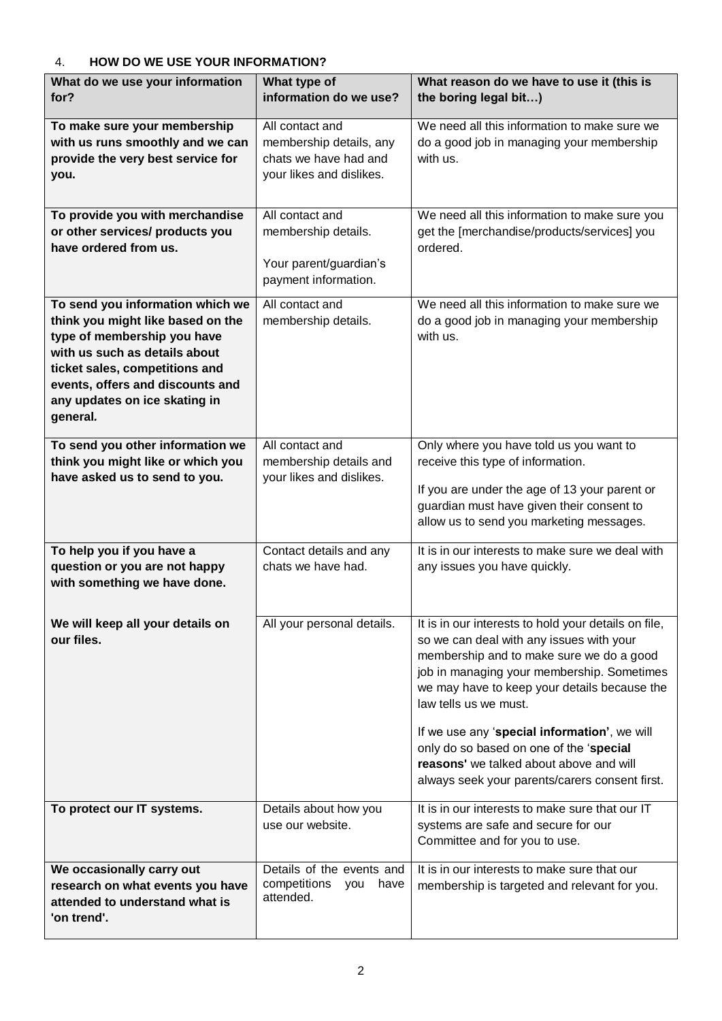# 4. **HOW DO WE USE YOUR INFORMATION?**

| What do we use your information                                                                                                                                                                                                                          | What type of                                                                                    | What reason do we have to use it (this is                                                                                                                                                                                                                                                                                                                                                                                                                   |
|----------------------------------------------------------------------------------------------------------------------------------------------------------------------------------------------------------------------------------------------------------|-------------------------------------------------------------------------------------------------|-------------------------------------------------------------------------------------------------------------------------------------------------------------------------------------------------------------------------------------------------------------------------------------------------------------------------------------------------------------------------------------------------------------------------------------------------------------|
| for?                                                                                                                                                                                                                                                     | information do we use?                                                                          | the boring legal bit)                                                                                                                                                                                                                                                                                                                                                                                                                                       |
| To make sure your membership<br>with us runs smoothly and we can<br>provide the very best service for<br>you.                                                                                                                                            | All contact and<br>membership details, any<br>chats we have had and<br>your likes and dislikes. | We need all this information to make sure we<br>do a good job in managing your membership<br>with us.                                                                                                                                                                                                                                                                                                                                                       |
| To provide you with merchandise<br>or other services/ products you<br>have ordered from us.                                                                                                                                                              | All contact and<br>membership details.<br>Your parent/guardian's<br>payment information.        | We need all this information to make sure you<br>get the [merchandise/products/services] you<br>ordered.                                                                                                                                                                                                                                                                                                                                                    |
| To send you information which we<br>think you might like based on the<br>type of membership you have<br>with us such as details about<br>ticket sales, competitions and<br>events, offers and discounts and<br>any updates on ice skating in<br>general. | All contact and<br>membership details.                                                          | We need all this information to make sure we<br>do a good job in managing your membership<br>with us.                                                                                                                                                                                                                                                                                                                                                       |
| To send you other information we<br>think you might like or which you<br>have asked us to send to you.                                                                                                                                                   | All contact and<br>membership details and<br>your likes and dislikes.                           | Only where you have told us you want to<br>receive this type of information.<br>If you are under the age of 13 your parent or<br>guardian must have given their consent to<br>allow us to send you marketing messages.                                                                                                                                                                                                                                      |
| To help you if you have a<br>question or you are not happy<br>with something we have done.                                                                                                                                                               | Contact details and any<br>chats we have had.                                                   | It is in our interests to make sure we deal with<br>any issues you have quickly.                                                                                                                                                                                                                                                                                                                                                                            |
| We will keep all your details on<br>our files.                                                                                                                                                                                                           | All your personal details.                                                                      | It is in our interests to hold your details on file,<br>so we can deal with any issues with your<br>membership and to make sure we do a good<br>job in managing your membership. Sometimes<br>we may have to keep your details because the<br>law tells us we must.<br>If we use any 'special information', we will<br>only do so based on one of the 'special<br>reasons' we talked about above and will<br>always seek your parents/carers consent first. |
| To protect our IT systems.                                                                                                                                                                                                                               | Details about how you<br>use our website.                                                       | It is in our interests to make sure that our IT<br>systems are safe and secure for our<br>Committee and for you to use.                                                                                                                                                                                                                                                                                                                                     |
| We occasionally carry out<br>research on what events you have<br>attended to understand what is<br>'on trend'.                                                                                                                                           | Details of the events and<br>competitions<br>have<br>you<br>attended.                           | It is in our interests to make sure that our<br>membership is targeted and relevant for you.                                                                                                                                                                                                                                                                                                                                                                |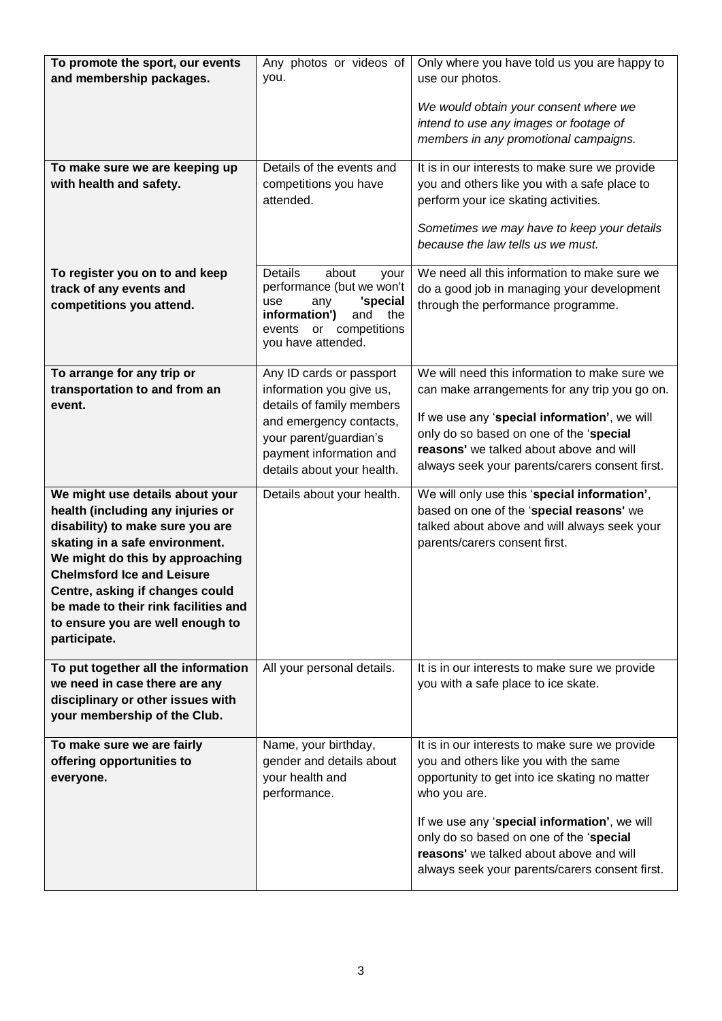| To promote the sport, our events<br>and membership packages.                                                                                                                                                                                                                                                                                      | Any photos or videos of<br>you.                                                                                                                                                                 | Only where you have told us you are happy to<br>use our photos.<br>We would obtain your consent where we<br>intend to use any images or footage of                                                                                                                                                                                               |
|---------------------------------------------------------------------------------------------------------------------------------------------------------------------------------------------------------------------------------------------------------------------------------------------------------------------------------------------------|-------------------------------------------------------------------------------------------------------------------------------------------------------------------------------------------------|--------------------------------------------------------------------------------------------------------------------------------------------------------------------------------------------------------------------------------------------------------------------------------------------------------------------------------------------------|
|                                                                                                                                                                                                                                                                                                                                                   |                                                                                                                                                                                                 | members in any promotional campaigns.                                                                                                                                                                                                                                                                                                            |
| To make sure we are keeping up<br>with health and safety.                                                                                                                                                                                                                                                                                         | Details of the events and<br>competitions you have<br>attended.                                                                                                                                 | It is in our interests to make sure we provide<br>you and others like you with a safe place to<br>perform your ice skating activities.<br>Sometimes we may have to keep your details<br>because the law tells us we must.                                                                                                                        |
| To register you on to and keep<br>track of any events and<br>competitions you attend.                                                                                                                                                                                                                                                             | Details<br>about<br>your<br>performance (but we won't<br>'special<br>use<br>any<br>information')<br>and<br>the<br>events or competitions<br>you have attended.                                  | We need all this information to make sure we<br>do a good job in managing your development<br>through the performance programme.                                                                                                                                                                                                                 |
| To arrange for any trip or<br>transportation to and from an<br>event.                                                                                                                                                                                                                                                                             | Any ID cards or passport<br>information you give us,<br>details of family members<br>and emergency contacts,<br>your parent/guardian's<br>payment information and<br>details about your health. | We will need this information to make sure we<br>can make arrangements for any trip you go on.<br>If we use any 'special information', we will<br>only do so based on one of the 'special<br>reasons' we talked about above and will<br>always seek your parents/carers consent first.                                                           |
| We might use details about your<br>health (including any injuries or<br>disability) to make sure you are<br>skating in a safe environment.<br>We might do this by approaching<br><b>Chelmsford Ice and Leisure</b><br>Centre, asking if changes could<br>be made to their rink facilities and<br>to ensure you are well enough to<br>participate. | Details about your health.                                                                                                                                                                      | We will only use this 'special information',<br>based on one of the 'special reasons' we<br>talked about above and will always seek your<br>parents/carers consent first.                                                                                                                                                                        |
| To put together all the information<br>we need in case there are any<br>disciplinary or other issues with<br>your membership of the Club.                                                                                                                                                                                                         | All your personal details.                                                                                                                                                                      | It is in our interests to make sure we provide<br>you with a safe place to ice skate.                                                                                                                                                                                                                                                            |
| To make sure we are fairly<br>offering opportunities to<br>everyone.                                                                                                                                                                                                                                                                              | Name, your birthday,<br>gender and details about<br>your health and<br>performance.                                                                                                             | It is in our interests to make sure we provide<br>you and others like you with the same<br>opportunity to get into ice skating no matter<br>who you are.<br>If we use any 'special information', we will<br>only do so based on one of the 'special<br>reasons' we talked about above and will<br>always seek your parents/carers consent first. |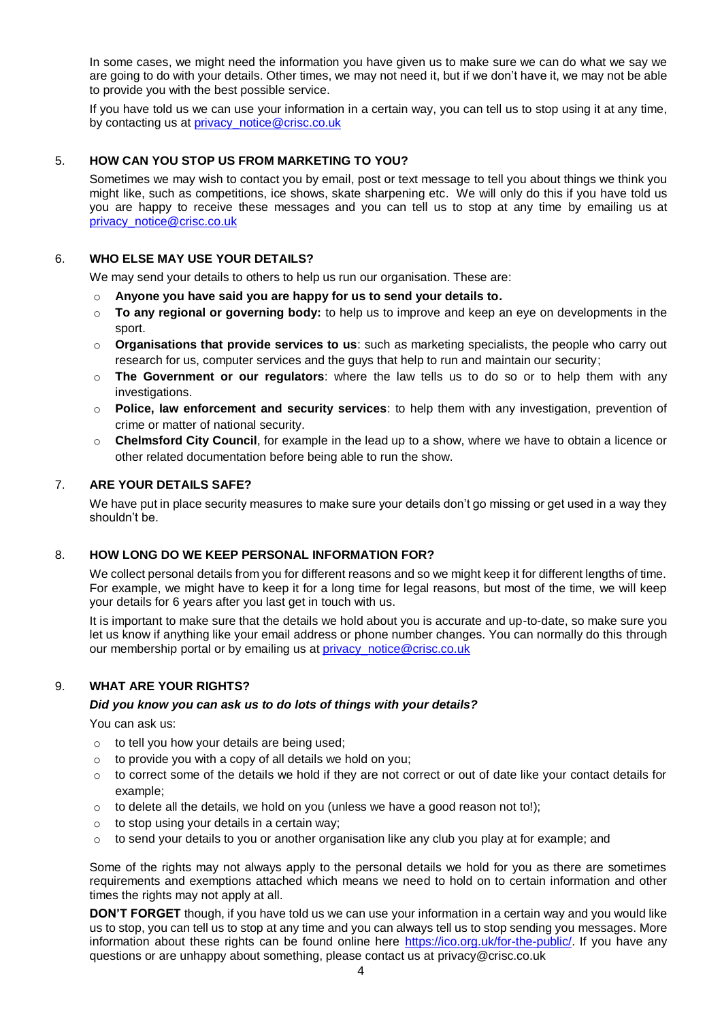In some cases, we might need the information you have given us to make sure we can do what we say we are going to do with your details. Other times, we may not need it, but if we don't have it, we may not be able to provide you with the best possible service.

If you have told us we can use your information in a certain way, you can tell us to stop using it at any time, by contacting us at **privacy** notice@crisc.co.uk

#### 5. **HOW CAN YOU STOP US FROM MARKETING TO YOU?**

Sometimes we may wish to contact you by email, post or text message to tell you about things we think you might like, such as competitions, ice shows, skate sharpening etc. We will only do this if you have told us you are happy to receive these messages and you can tell us to stop at any time by emailing us at [privacy\\_notice@crisc.co.uk](mailto:privacy_notice@crisc.co.uk)

#### 6. **WHO ELSE MAY USE YOUR DETAILS?**

We may send your details to others to help us run our organisation. These are:

- o **Anyone you have said you are happy for us to send your details to.**
- o **To any regional or governing body:** to help us to improve and keep an eye on developments in the sport.
- o **Organisations that provide services to us**: such as marketing specialists, the people who carry out research for us, computer services and the guys that help to run and maintain our security;
- o **The Government or our regulators**: where the law tells us to do so or to help them with any investigations.
- o **Police, law enforcement and security services**: to help them with any investigation, prevention of crime or matter of national security.
- o **Chelmsford City Council**, for example in the lead up to a show, where we have to obtain a licence or other related documentation before being able to run the show.

#### 7. **ARE YOUR DETAILS SAFE?**

We have put in place security measures to make sure your details don't go missing or get used in a way they shouldn't be.

#### 8. **HOW LONG DO WE KEEP PERSONAL INFORMATION FOR?**

We collect personal details from you for different reasons and so we might keep it for different lengths of time. For example, we might have to keep it for a long time for legal reasons, but most of the time, we will keep your details for 6 years after you last get in touch with us.

It is important to make sure that the details we hold about you is accurate and up-to-date, so make sure you let us know if anything like your email address or phone number changes. You can normally do this through our membership portal or by emailing us at privacy notice@crisc.co.uk

### 9. **WHAT ARE YOUR RIGHTS?**

#### *Did you know you can ask us to do lots of things with your details?*

You can ask us:

- $\circ$  to tell you how your details are being used;
- $\circ$  to provide you with a copy of all details we hold on you;
- o to correct some of the details we hold if they are not correct or out of date like your contact details for example;
- $\circ$  to delete all the details, we hold on you (unless we have a good reason not to!);
- $\circ$  to stop using your details in a certain way;
- $\circ$  to send your details to you or another organisation like any club you play at for example; and

Some of the rights may not always apply to the personal details we hold for you as there are sometimes requirements and exemptions attached which means we need to hold on to certain information and other times the rights may not apply at all.

**DON'T FORGET** though, if you have told us we can use your information in a certain way and you would like us to stop, you can tell us to stop at any time and you can always tell us to stop sending you messages. More information about these rights can be found online here [https://ico.org.uk/for-the-public/.](https://ico.org.uk/for-the-public/) If you have any questions or are unhappy about something, please contact us at privacy@crisc.co.uk